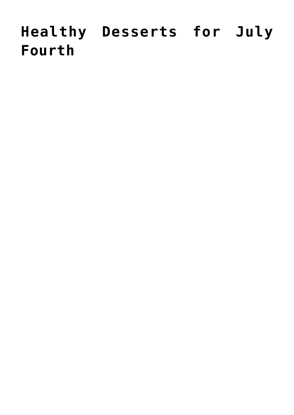# **[Healthy Desserts for July](https://livewellutah.org/2017/07/03/healthy-desserts-for-july-fourth/) [Fourth](https://livewellutah.org/2017/07/03/healthy-desserts-for-july-fourth/)**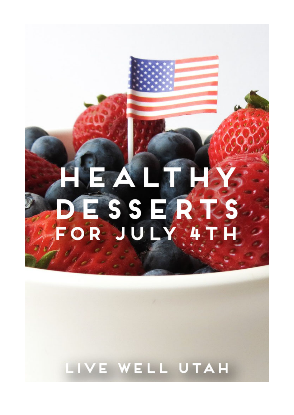## $\mathord{\parallel}$ A ESSE, OR JU LY. 4

### LIVE WELL UTAH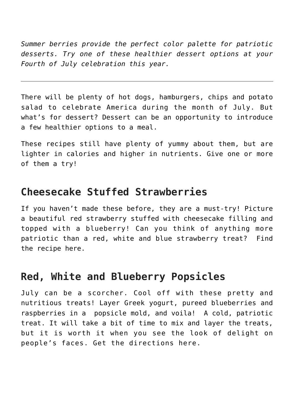*Summer berries provide the perfect color palette for patriotic desserts. Try one of these healthier dessert options at your Fourth of July celebration this year.*

There will be plenty of hot dogs, hamburgers, chips and potato salad to celebrate America during the month of July. But what's for dessert? Dessert can be an opportunity to introduce a few healthier options to a meal.

These recipes still have plenty of yummy about them, but are lighter in calories and higher in nutrients. Give one or more of them a try!

#### **Cheesecake Stuffed Strawberries**

If you haven't made these before, they are a must-try! Picture a beautiful red strawberry stuffed with cheesecake filling and topped with a blueberry! Can you think of anything more patriotic than a red, white and blue strawberry treat? Find the recipe [here](http://www.dessertnowdinnerlater.com/cheesecake-stuffed-strawberries/).

#### **Red, White and Blueberry Popsicles**

July can be a scorcher. Cool off with these pretty and nutritious treats! Layer Greek yogurt, pureed blueberries and raspberries in a popsicle mold, and voila! A cold, patriotic treat. It will take a bit of time to mix and layer the treats, but it is worth it when you see the look of delight on people's faces. Get the directions [here](http://theviewfromgreatisland.com/red-white-and-blueberry-popsicles/).